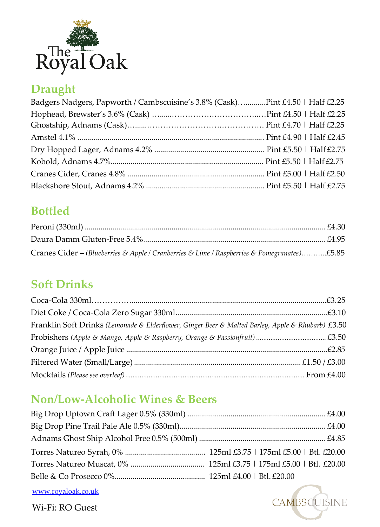

# **Draught**

| Badgers Nadgers, Papworth / Cambscuisine's 3.8% (Cask)Pint £4.50   Half £2.25 |  |
|-------------------------------------------------------------------------------|--|
|                                                                               |  |
|                                                                               |  |
|                                                                               |  |
|                                                                               |  |
|                                                                               |  |
|                                                                               |  |
|                                                                               |  |
|                                                                               |  |

## **Bottled**

| Cranes Cider – (Blueberries & Apple / Cranberries & Lime / Raspberries & Pomegranates)£5.85 |  |
|---------------------------------------------------------------------------------------------|--|

## **Soft Drinks**

| Franklin Soft Drinks (Lemonade & Elderflower, Ginger Beer & Malted Barley, Apple & Rhubarb) £3.50 |  |
|---------------------------------------------------------------------------------------------------|--|
|                                                                                                   |  |
|                                                                                                   |  |
|                                                                                                   |  |
|                                                                                                   |  |

# **Non/Low-Alcoholic Wines & Beers**

**CAMBSCUISINE** 

[www.royaloak.co.uk](http://www.royaloak.co.uk/) Wi-Fi: RO Guest